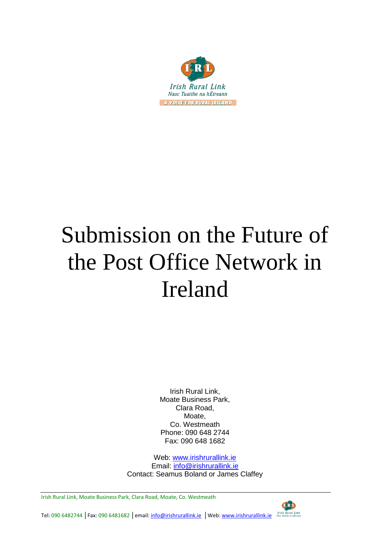

# Submission on the Future of the Post Office Network in Ireland

Irish Rural Link, Moate Business Park, Clara Road, Moate, Co. Westmeath Phone: 090 648 2744 Fax: 090 648 1682

Web: [www.irishrurallink.ie](http://www.irishrurallink.ie/) Email: [info@irishrurallink.ie](mailto:info@irishrurallink.ie) Contact: Seamus Boland or James Claffey

Irish Rural Link, Moate Business Park, Clara Road, Moate, Co. Westmeath



Tel: 090 6482744 │Fax: 090 6481682 │email: <u>info@irishrurallink.ie</u> │Web: www.irishrurallink.ie 「Irlsh Rural Link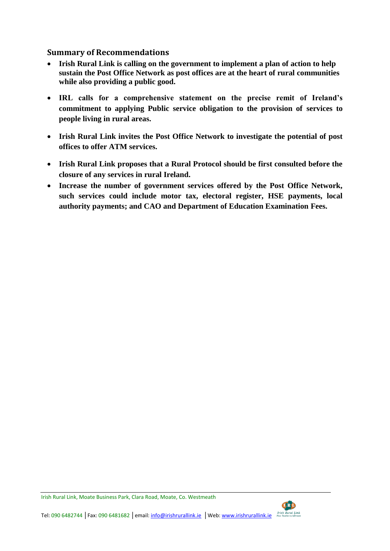# **Summary of Recommendations**

- **Irish Rural Link is calling on the government to implement a plan of action to help sustain the Post Office Network as post offices are at the heart of rural communities while also providing a public good.**
- **IRL calls for a comprehensive statement on the precise remit of Ireland's commitment to applying Public service obligation to the provision of services to people living in rural areas.**
- **Irish Rural Link invites the Post Office Network to investigate the potential of post offices to offer ATM services.**
- **Irish Rural Link proposes that a Rural Protocol should be first consulted before the closure of any services in rural Ireland.**
- **Increase the number of government services offered by the Post Office Network, such services could include motor tax, electoral register, HSE payments, local authority payments; and CAO and Department of Education Examination Fees.**

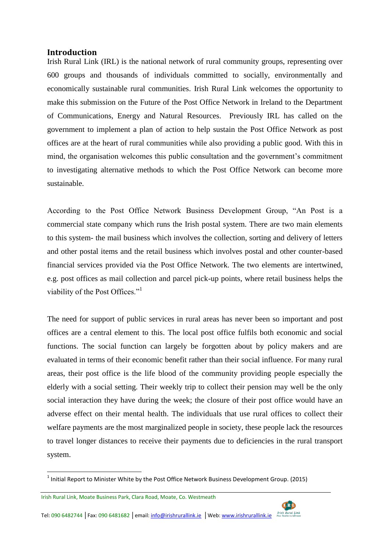# **Introduction**

Irish Rural Link (IRL) is the national network of rural community groups, representing over 600 groups and thousands of individuals committed to socially, environmentally and economically sustainable rural communities. Irish Rural Link welcomes the opportunity to make this submission on the Future of the Post Office Network in Ireland to the Department of Communications, Energy and Natural Resources. Previously IRL has called on the government to implement a plan of action to help sustain the Post Office Network as post offices are at the heart of rural communities while also providing a public good. With this in mind, the organisation welcomes this public consultation and the government's commitment to investigating alternative methods to which the Post Office Network can become more sustainable.

According to the Post Office Network Business Development Group, "An Post is a commercial state company which runs the Irish postal system. There are two main elements to this system- the mail business which involves the collection, sorting and delivery of letters and other postal items and the retail business which involves postal and other counter-based financial services provided via the Post Office Network. The two elements are intertwined, e.g. post offices as mail collection and parcel pick-up points, where retail business helps the viability of the Post Offices."<sup>1</sup>

The need for support of public services in rural areas has never been so important and post offices are a central element to this. The local post office fulfils both economic and social functions. The social function can largely be forgotten about by policy makers and are evaluated in terms of their economic benefit rather than their social influence. For many rural areas, their post office is the life blood of the community providing people especially the elderly with a social setting. Their weekly trip to collect their pension may well be the only social interaction they have during the week; the closure of their post office would have an adverse effect on their mental health. The individuals that use rural offices to collect their welfare payments are the most marginalized people in society, these people lack the resources to travel longer distances to receive their payments due to deficiencies in the rural transport system.

Irish Rural Link, Moate Business Park, Clara Road, Moate, Co. Westmeath

1



 $<sup>1</sup>$  Initial Report to Minister White by the Post Office Network Business Development Group. (2015)</sup>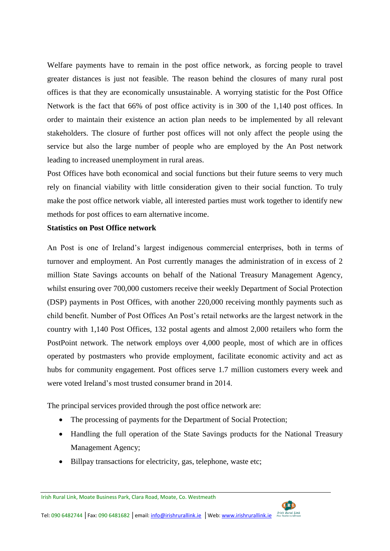Welfare payments have to remain in the post office network, as forcing people to travel greater distances is just not feasible. The reason behind the closures of many rural post offices is that they are economically unsustainable. A worrying statistic for the Post Office Network is the fact that 66% of post office activity is in 300 of the 1,140 post offices. In order to maintain their existence an action plan needs to be implemented by all relevant stakeholders. The closure of further post offices will not only affect the people using the service but also the large number of people who are employed by the An Post network leading to increased unemployment in rural areas.

Post Offices have both economical and social functions but their future seems to very much rely on financial viability with little consideration given to their social function. To truly make the post office network viable, all interested parties must work together to identify new methods for post offices to earn alternative income.

# **Statistics on Post Office network**

An Post is one of Ireland's largest indigenous commercial enterprises, both in terms of turnover and employment. An Post currently manages the administration of in excess of 2 million State Savings accounts on behalf of the National Treasury Management Agency, whilst ensuring over 700,000 customers receive their weekly Department of Social Protection (DSP) payments in Post Offices, with another 220,000 receiving monthly payments such as child benefit. Number of Post Offices An Post's retail networks are the largest network in the country with 1,140 Post Offices, 132 postal agents and almost 2,000 retailers who form the PostPoint network. The network employs over 4,000 people, most of which are in offices operated by postmasters who provide employment, facilitate economic activity and act as hubs for community engagement. Post offices serve 1.7 million customers every week and were voted Ireland's most trusted consumer brand in 2014.

The principal services provided through the post office network are:

- The processing of payments for the Department of Social Protection;
- Handling the full operation of the State Savings products for the National Treasury Management Agency;
- Billpay transactions for electricity, gas, telephone, waste etc;

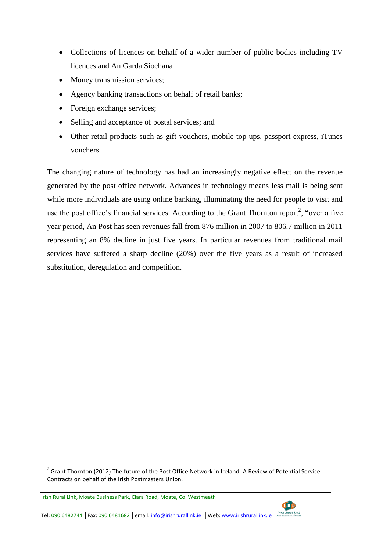- Collections of licences on behalf of a wider number of public bodies including TV licences and An Garda Siochana
- Money transmission services;
- Agency banking transactions on behalf of retail banks;
- Foreign exchange services;
- Selling and acceptance of postal services; and
- Other retail products such as gift vouchers, mobile top ups, passport express, iTunes vouchers.

The changing nature of technology has had an increasingly negative effect on the revenue generated by the post office network. Advances in technology means less mail is being sent while more individuals are using online banking, illuminating the need for people to visit and use the post office's financial services. According to the Grant Thornton report<sup>2</sup>, "over a five year period, An Post has seen revenues fall from 876 million in 2007 to 806.7 million in 2011 representing an 8% decline in just five years. In particular revenues from traditional mail services have suffered a sharp decline (20%) over the five years as a result of increased substitution, deregulation and competition.



 $\overline{a}$  $2$  Grant Thornton (2012) The future of the Post Office Network in Ireland-A Review of Potential Service Contracts on behalf of the Irish Postmasters Union.

Irish Rural Link, Moate Business Park, Clara Road, Moate, Co. Westmeath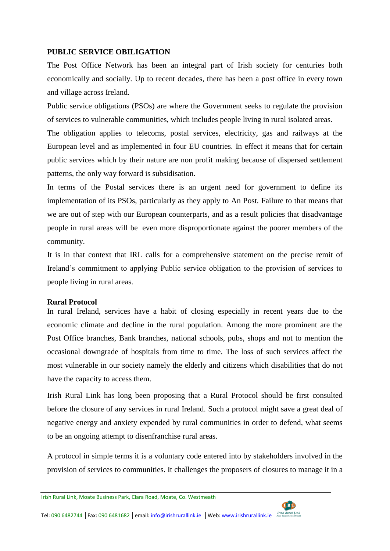#### **PUBLIC SERVICE OBILIGATION**

The Post Office Network has been an integral part of Irish society for centuries both economically and socially. Up to recent decades, there has been a post office in every town and village across Ireland.

Public service obligations (PSOs) are where the Government seeks to regulate the provision of services to vulnerable communities, which includes people living in rural isolated areas.

The obligation applies to telecoms, postal services, electricity, gas and railways at the European level and as implemented in four EU countries. In effect it means that for certain public services which by their nature are non profit making because of dispersed settlement patterns, the only way forward is subsidisation.

In terms of the Postal services there is an urgent need for government to define its implementation of its PSOs, particularly as they apply to An Post. Failure to that means that we are out of step with our European counterparts, and as a result policies that disadvantage people in rural areas will be even more disproportionate against the poorer members of the community.

It is in that context that IRL calls for a comprehensive statement on the precise remit of Ireland's commitment to applying Public service obligation to the provision of services to people living in rural areas.

# **Rural Protocol**

In rural Ireland, services have a habit of closing especially in recent years due to the economic climate and decline in the rural population. Among the more prominent are the Post Office branches, Bank branches, national schools, pubs, shops and not to mention the occasional downgrade of hospitals from time to time. The loss of such services affect the most vulnerable in our society namely the elderly and citizens which disabilities that do not have the capacity to access them.

Irish Rural Link has long been proposing that a Rural Protocol should be first consulted before the closure of any services in rural Ireland. Such a protocol might save a great deal of negative energy and anxiety expended by rural communities in order to defend, what seems to be an ongoing attempt to disenfranchise rural areas.

A protocol in simple terms it is a voluntary code entered into by stakeholders involved in the provision of services to communities. It challenges the proposers of closures to manage it in a

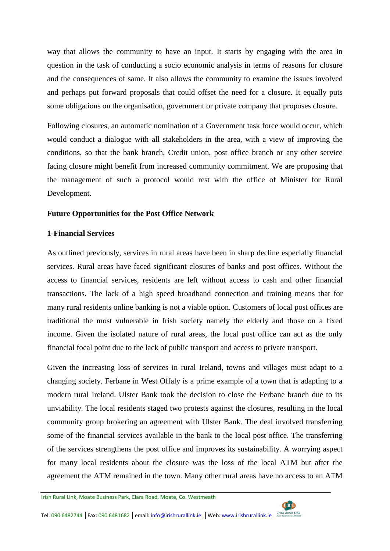way that allows the community to have an input. It starts by engaging with the area in question in the task of conducting a socio economic analysis in terms of reasons for closure and the consequences of same. It also allows the community to examine the issues involved and perhaps put forward proposals that could offset the need for a closure. It equally puts some obligations on the organisation, government or private company that proposes closure.

Following closures, an automatic nomination of a Government task force would occur, which would conduct a dialogue with all stakeholders in the area, with a view of improving the conditions, so that the bank branch, Credit union, post office branch or any other service facing closure might benefit from increased community commitment. We are proposing that the management of such a protocol would rest with the office of Minister for Rural Development.

#### **Future Opportunities for the Post Office Network**

#### **1-Financial Services**

As outlined previously, services in rural areas have been in sharp decline especially financial services. Rural areas have faced significant closures of banks and post offices. Without the access to financial services, residents are left without access to cash and other financial transactions. The lack of a high speed broadband connection and training means that for many rural residents online banking is not a viable option. Customers of local post offices are traditional the most vulnerable in Irish society namely the elderly and those on a fixed income. Given the isolated nature of rural areas, the local post office can act as the only financial focal point due to the lack of public transport and access to private transport.

Given the increasing loss of services in rural Ireland, towns and villages must adapt to a changing society. Ferbane in West Offaly is a prime example of a town that is adapting to a modern rural Ireland. Ulster Bank took the decision to close the Ferbane branch due to its unviability. The local residents staged two protests against the closures, resulting in the local community group brokering an agreement with Ulster Bank. The deal involved transferring some of the financial services available in the bank to the local post office. The transferring of the services strengthens the post office and improves its sustainability. A worrying aspect for many local residents about the closure was the loss of the local ATM but after the agreement the ATM remained in the town. Many other rural areas have no access to an ATM

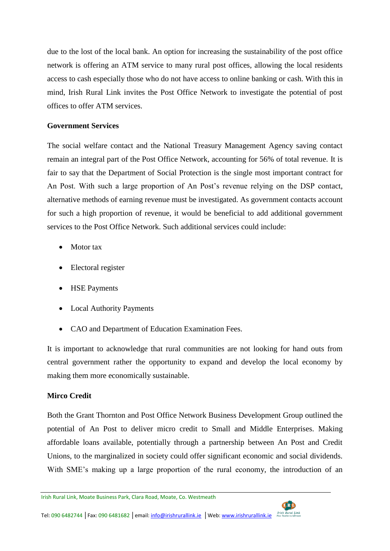due to the lost of the local bank. An option for increasing the sustainability of the post office network is offering an ATM service to many rural post offices, allowing the local residents access to cash especially those who do not have access to online banking or cash. With this in mind, Irish Rural Link invites the Post Office Network to investigate the potential of post offices to offer ATM services.

# **Government Services**

The social welfare contact and the National Treasury Management Agency saving contact remain an integral part of the Post Office Network, accounting for 56% of total revenue. It is fair to say that the Department of Social Protection is the single most important contract for An Post. With such a large proportion of An Post's revenue relying on the DSP contact, alternative methods of earning revenue must be investigated. As government contacts account for such a high proportion of revenue, it would be beneficial to add additional government services to the Post Office Network. Such additional services could include:

- Motor tax
- Electoral register
- HSE Payments
- Local Authority Payments
- CAO and Department of Education Examination Fees.

It is important to acknowledge that rural communities are not looking for hand outs from central government rather the opportunity to expand and develop the local economy by making them more economically sustainable.

# **Mirco Credit**

Both the Grant Thornton and Post Office Network Business Development Group outlined the potential of An Post to deliver micro credit to Small and Middle Enterprises. Making affordable loans available, potentially through a partnership between An Post and Credit Unions, to the marginalized in society could offer significant economic and social dividends. With SME's making up a large proportion of the rural economy, the introduction of an



Irish Rural Link, Moate Business Park, Clara Road, Moate, Co. Westmeath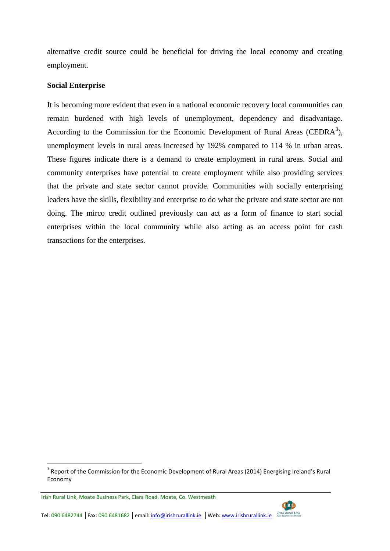alternative credit source could be beneficial for driving the local economy and creating employment.

#### **Social Enterprise**

It is becoming more evident that even in a national economic recovery local communities can remain burdened with high levels of unemployment, dependency and disadvantage. According to the Commission for the Economic Development of Rural Areas (CEDRA $3$ ), unemployment levels in rural areas increased by 192% compared to 114 % in urban areas. These figures indicate there is a demand to create employment in rural areas. Social and community enterprises have potential to create employment while also providing services that the private and state sector cannot provide. Communities with socially enterprising leaders have the skills, flexibility and enterprise to do what the private and state sector are not doing. The mirco credit outlined previously can act as a form of finance to start social enterprises within the local community while also acting as an access point for cash transactions for the enterprises.

 $\overline{a}$ 



Tel: 090 6482744 │Fax: 090 6481682 │email: <u>info@irishrurallink.ie</u> │Web: www.irishrurallink.ie 「Irish Rural Link

 $3$  Report of the Commission for the Economic Development of Rural Areas (2014) Energising Ireland's Rural Economy

Irish Rural Link, Moate Business Park, Clara Road, Moate, Co. Westmeath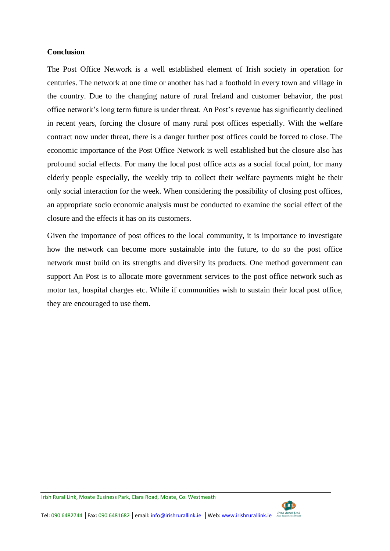#### **Conclusion**

The Post Office Network is a well established element of Irish society in operation for centuries. The network at one time or another has had a foothold in every town and village in the country. Due to the changing nature of rural Ireland and customer behavior, the post office network's long term future is under threat. An Post's revenue has significantly declined in recent years, forcing the closure of many rural post offices especially. With the welfare contract now under threat, there is a danger further post offices could be forced to close. The economic importance of the Post Office Network is well established but the closure also has profound social effects. For many the local post office acts as a social focal point, for many elderly people especially, the weekly trip to collect their welfare payments might be their only social interaction for the week. When considering the possibility of closing post offices, an appropriate socio economic analysis must be conducted to examine the social effect of the closure and the effects it has on its customers.

Given the importance of post offices to the local community, it is importance to investigate how the network can become more sustainable into the future, to do so the post office network must build on its strengths and diversify its products. One method government can support An Post is to allocate more government services to the post office network such as motor tax, hospital charges etc. While if communities wish to sustain their local post office, they are encouraged to use them.